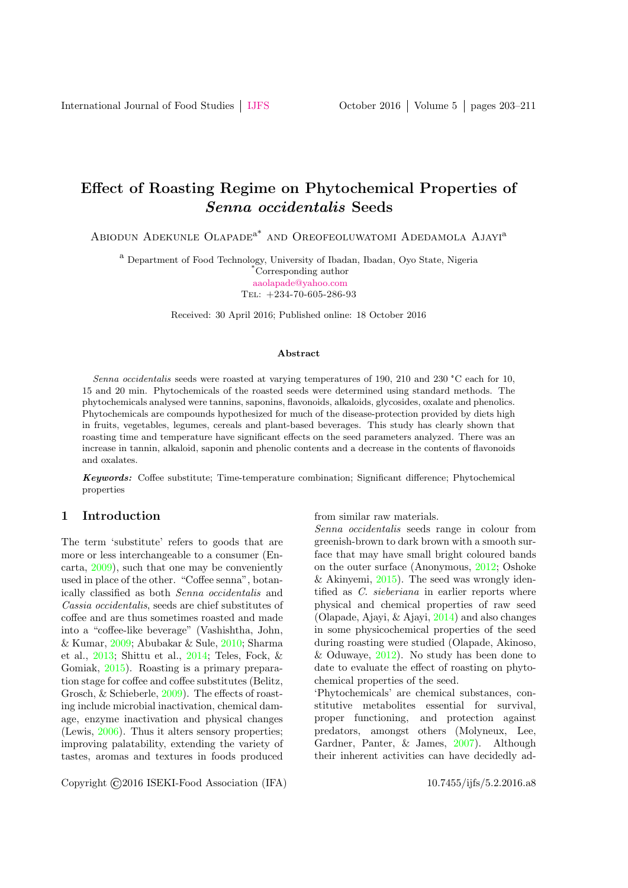# Effect of Roasting Regime on Phytochemical Properties of Senna occidentalis Seeds

ABIODUN ADEKUNLE OLAPADE<sup>a\*</sup> AND OREOFEOLUWATOMI ADEDAMOLA AJAYI<sup>a</sup>

<sup>a</sup> Department of Food Technology, University of Ibadan, Ibadan, Oyo State, Nigeria \*Corresponding author [aaolapade@yahoo.com](mailto: aaolapade@yahoo.com)

Tel: +234-70-605-286-93

Received: 30 April 2016; Published online: 18 October 2016

#### Abstract

Senna occidentalis seeds were roasted at varying temperatures of 190, 210 and 230 °C each for 10, 15 and 20 min. Phytochemicals of the roasted seeds were determined using standard methods. The phytochemicals analysed were tannins, saponins, flavonoids, alkaloids, glycosides, oxalate and phenolics. Phytochemicals are compounds hypothesized for much of the disease-protection provided by diets high in fruits, vegetables, legumes, cereals and plant-based beverages. This study has clearly shown that roasting time and temperature have significant effects on the seed parameters analyzed. There was an increase in tannin, alkaloid, saponin and phenolic contents and a decrease in the contents of flavonoids and oxalates.

Keywords: Coffee substitute; Time-temperature combination; Significant difference; Phytochemical properties

## 1 Introduction

The term 'substitute' refers to goods that are more or less interchangeable to a consumer (Encarta, [2009\)](#page-7-0), such that one may be conveniently used in place of the other. "Coffee senna", botanically classified as both Senna occidentalis and Cassia occidentalis, seeds are chief substitutes of coffee and are thus sometimes roasted and made into a "coffee-like beverage" (Vashishtha, John, & Kumar, [2009;](#page-8-0) Abubakar & Sule, [2010;](#page-6-0) Sharma et al., [2013;](#page-8-1) Shittu et al., [2014;](#page-8-2) Teles, Fock, & Gomiak, [2015\)](#page-8-3). Roasting is a primary preparation stage for coffee and coffee substitutes (Belitz, Grosch, & Schieberle, [2009\)](#page-6-1). The effects of roasting include microbial inactivation, chemical damage, enzyme inactivation and physical changes (Lewis, [2006\)](#page-7-1). Thus it alters sensory properties; improving palatability, extending the variety of tastes, aromas and textures in foods produced

from similar raw materials.

Senna occidentalis seeds range in colour from greenish-brown to dark brown with a smooth surface that may have small bright coloured bands on the outer surface (Anonymous, [2012;](#page-6-2) Oshoke & Akinyemi, [2015\)](#page-8-4). The seed was wrongly identified as C. sieberiana in earlier reports where physical and chemical properties of raw seed (Olapade, Ajayi, & Ajayi, [2014\)](#page-8-5) and also changes in some physicochemical properties of the seed during roasting were studied (Olapade, Akinoso, & Oduwaye, [2012\)](#page-8-6). No study has been done to date to evaluate the effect of roasting on phytochemical properties of the seed.

'Phytochemicals' are chemical substances, constitutive metabolites essential for survival, proper functioning, and protection against predators, amongst others (Molyneux, Lee, Gardner, Panter, & James, [2007\)](#page-7-2). Although their inherent activities can have decidedly ad-

Copyright ©2016 ISEKI-Food Association (IFA) 10.7455/ijfs/5.2.2016.a8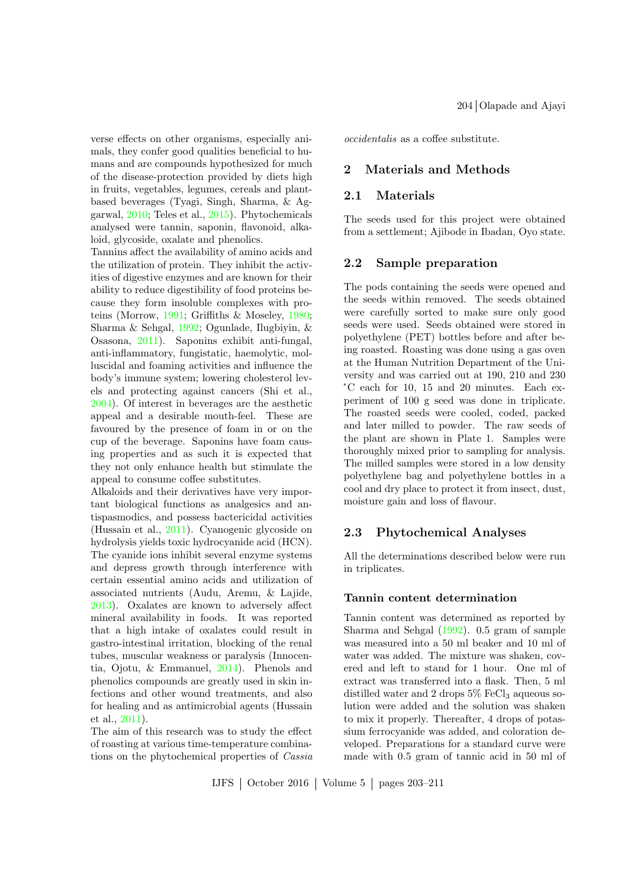verse effects on other organisms, especially animals, they confer good qualities beneficial to humans and are compounds hypothesized for much of the disease-protection provided by diets high in fruits, vegetables, legumes, cereals and plantbased beverages (Tyagi, Singh, Sharma, & Aggarwal, [2010;](#page-8-7) Teles et al., [2015\)](#page-8-3). Phytochemicals analysed were tannin, saponin, flavonoid, alkaloid, glycoside, oxalate and phenolics.

Tannins affect the availability of amino acids and the utilization of protein. They inhibit the activities of digestive enzymes and are known for their ability to reduce digestibility of food proteins because they form insoluble complexes with proteins (Morrow, [1991;](#page-7-3) Griffiths & Moseley, [1980;](#page-7-4) Sharma & Sehgal, [1992;](#page-8-8) Ogunlade, Ilugbiyin, & Osasona, [2011\)](#page-7-5). Saponins exhibit anti-fungal, anti-inflammatory, fungistatic, haemolytic, molluscidal and foaming activities and influence the body's immune system; lowering cholesterol levels and protecting against cancers (Shi et al., [2004\)](#page-8-9). Of interest in beverages are the aesthetic appeal and a desirable mouth-feel. These are favoured by the presence of foam in or on the cup of the beverage. Saponins have foam causing properties and as such it is expected that they not only enhance health but stimulate the appeal to consume coffee substitutes.

Alkaloids and their derivatives have very important biological functions as analgesics and antispasmodics, and possess bactericidal activities (Hussain et al., [2011\)](#page-7-6). Cyanogenic glycoside on hydrolysis yields toxic hydrocyanide acid (HCN). The cyanide ions inhibit several enzyme systems and depress growth through interference with certain essential amino acids and utilization of associated nutrients (Audu, Aremu, & Lajide, [2013\)](#page-6-3). Oxalates are known to adversely affect mineral availability in foods. It was reported that a high intake of oxalates could result in gastro-intestinal irritation, blocking of the renal tubes, muscular weakness or paralysis (Innocentia, Ojotu, & Emmanuel, [2014\)](#page-7-7). Phenols and phenolics compounds are greatly used in skin infections and other wound treatments, and also for healing and as antimicrobial agents (Hussain et al., [2011\)](#page-7-6).

The aim of this research was to study the effect of roasting at various time-temperature combinations on the phytochemical properties of Cassia 204 Olapade and Ajayi

occidentalis as a coffee substitute.

## 2 Materials and Methods

#### 2.1 Materials

The seeds used for this project were obtained from a settlement; Ajibode in Ibadan, Oyo state.

#### 2.2 Sample preparation

The pods containing the seeds were opened and the seeds within removed. The seeds obtained were carefully sorted to make sure only good seeds were used. Seeds obtained were stored in polyethylene (PET) bottles before and after being roasted. Roasting was done using a gas oven at the Human Nutrition Department of the University and was carried out at 190, 210 and 230 °C each for 10, 15 and 20 minutes. Each experiment of 100 g seed was done in triplicate. The roasted seeds were cooled, coded, packed and later milled to powder. The raw seeds of the plant are shown in Plate 1. Samples were thoroughly mixed prior to sampling for analysis. The milled samples were stored in a low density polyethylene bag and polyethylene bottles in a cool and dry place to protect it from insect, dust, moisture gain and loss of flavour.

### 2.3 Phytochemical Analyses

All the determinations described below were run in triplicates.

#### Tannin content determination

Tannin content was determined as reported by Sharma and Sehgal [\(1992\)](#page-8-8). 0.5 gram of sample was measured into a 50 ml beaker and 10 ml of water was added. The mixture was shaken, covered and left to stand for 1 hour. One ml of extract was transferred into a flask. Then, 5 ml distilled water and 2 drops  $5\%$  FeCl<sub>3</sub> aqueous solution were added and the solution was shaken to mix it properly. Thereafter, 4 drops of potassium ferrocyanide was added, and coloration developed. Preparations for a standard curve were made with 0.5 gram of tannic acid in 50 ml of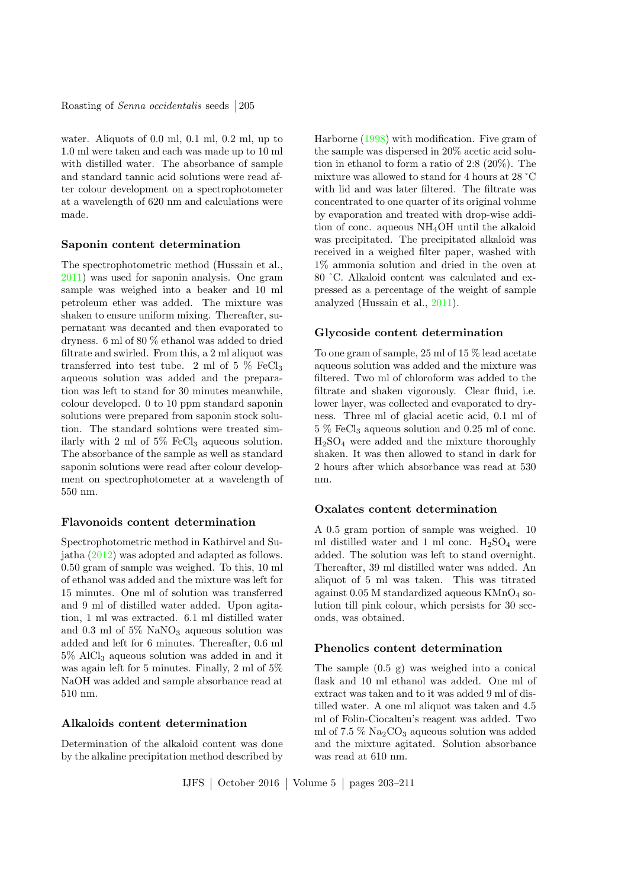Roasting of *Senna occidentalis* seeds 205

water. Aliquots of 0.0 ml, 0.1 ml, 0.2 ml, up to 1.0 ml were taken and each was made up to 10 ml with distilled water. The absorbance of sample and standard tannic acid solutions were read after colour development on a spectrophotometer at a wavelength of 620 nm and calculations were made.

#### Saponin content determination

The spectrophotometric method (Hussain et al., [2011\)](#page-7-6) was used for saponin analysis. One gram sample was weighed into a beaker and 10 ml petroleum ether was added. The mixture was shaken to ensure uniform mixing. Thereafter, supernatant was decanted and then evaporated to dryness. 6 ml of 80 % ethanol was added to dried filtrate and swirled. From this, a 2 ml aliquot was transferred into test tube. 2 ml of 5  $\%$  FeCl<sub>3</sub> aqueous solution was added and the preparation was left to stand for 30 minutes meanwhile, colour developed. 0 to 10 ppm standard saponin solutions were prepared from saponin stock solution. The standard solutions were treated similarly with 2 ml of  $5\%$  FeCl<sub>3</sub> aqueous solution. The absorbance of the sample as well as standard saponin solutions were read after colour development on spectrophotometer at a wavelength of 550 nm.

#### Flavonoids content determination

Spectrophotometric method in Kathirvel and Sujatha [\(2012\)](#page-7-8) was adopted and adapted as follows. 0.50 gram of sample was weighed. To this, 10 ml of ethanol was added and the mixture was left for 15 minutes. One ml of solution was transferred and 9 ml of distilled water added. Upon agitation, 1 ml was extracted. 6.1 ml distilled water and 0.3 ml of  $5\%$  NaNO<sub>3</sub> aqueous solution was added and left for 6 minutes. Thereafter, 0.6 ml 5% AlCl<sup>3</sup> aqueous solution was added in and it was again left for 5 minutes. Finally, 2 ml of 5% NaOH was added and sample absorbance read at 510 nm.

#### Alkaloids content determination

Determination of the alkaloid content was done by the alkaline precipitation method described by

Harborne [\(1998\)](#page-7-9) with modification. Five gram of the sample was dispersed in 20% acetic acid solution in ethanol to form a ratio of 2:8 (20%). The mixture was allowed to stand for 4 hours at 28 °C with lid and was later filtered. The filtrate was concentrated to one quarter of its original volume by evaporation and treated with drop-wise addition of conc. aqueous NH4OH until the alkaloid was precipitated. The precipitated alkaloid was received in a weighed filter paper, washed with 1% ammonia solution and dried in the oven at 80 °C. Alkaloid content was calculated and expressed as a percentage of the weight of sample analyzed (Hussain et al., [2011\)](#page-7-6).

#### Glycoside content determination

To one gram of sample, 25 ml of 15 % lead acetate aqueous solution was added and the mixture was filtered. Two ml of chloroform was added to the filtrate and shaken vigorously. Clear fluid, i.e. lower layer, was collected and evaporated to dryness. Three ml of glacial acetic acid, 0.1 ml of  $5\%$  FeCl<sub>3</sub> aqueous solution and 0.25 ml of conc. H2SO<sup>4</sup> were added and the mixture thoroughly shaken. It was then allowed to stand in dark for 2 hours after which absorbance was read at 530 nm.

#### Oxalates content determination

A 0.5 gram portion of sample was weighed. 10 ml distilled water and 1 ml conc.  $H_2SO_4$  were added. The solution was left to stand overnight. Thereafter, 39 ml distilled water was added. An aliquot of 5 ml was taken. This was titrated against  $0.05$  M standardized aqueous KMnO<sub>4</sub> solution till pink colour, which persists for 30 seconds, was obtained.

#### Phenolics content determination

The sample (0.5 g) was weighed into a conical flask and 10 ml ethanol was added. One ml of extract was taken and to it was added 9 ml of distilled water. A one ml aliquot was taken and 4.5 ml of Folin-Ciocalteu's reagent was added. Two ml of  $7.5\%$  Na<sub>2</sub>CO<sub>3</sub> aqueous solution was added and the mixture agitated. Solution absorbance was read at 610 nm.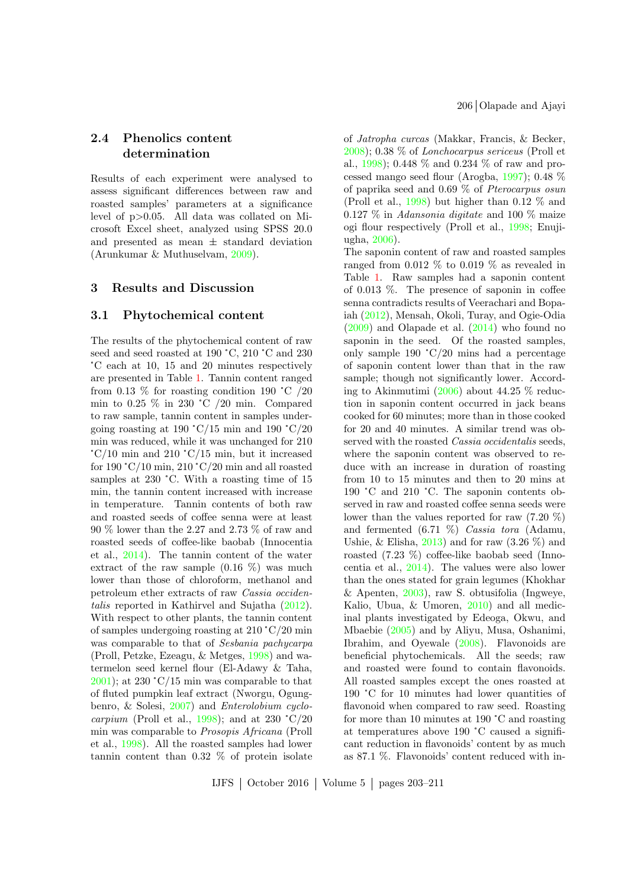# 2.4 Phenolics content determination

Results of each experiment were analysed to assess significant differences between raw and roasted samples' parameters at a significance level of p>0.05. All data was collated on Microsoft Excel sheet, analyzed using SPSS 20.0 and presented as mean ± standard deviation (Arunkumar & Muthuselvam, [2009\)](#page-6-4).

#### 3 Results and Discussion

#### 3.1 Phytochemical content

The results of the phytochemical content of raw seed and seed roasted at 190 °C, 210 °C and 230 °C each at 10, 15 and 20 minutes respectively are presented in Table [1.](#page-4-0) Tannin content ranged from 0.13  $\%$  for roasting condition 190 °C /20 min to 0.25 % in 230 °C /20 min. Compared to raw sample, tannin content in samples undergoing roasting at 190 °C/15 min and 190 °C/20 min was reduced, while it was unchanged for 210  $\degree$ C/10 min and 210  $\degree$ C/15 min, but it increased for 190 °C/10 min, 210 °C/20 min and all roasted samples at 230 °C. With a roasting time of 15 min, the tannin content increased with increase in temperature. Tannin contents of both raw and roasted seeds of coffee senna were at least 90 % lower than the 2.27 and 2.73 % of raw and roasted seeds of coffee-like baobab (Innocentia et al., [2014\)](#page-7-7). The tannin content of the water extract of the raw sample  $(0.16 \%)$  was much lower than those of chloroform, methanol and petroleum ether extracts of raw Cassia occidentalis reported in Kathirvel and Sujatha [\(2012\)](#page-7-8). With respect to other plants, the tannin content of samples undergoing roasting at 210 °C/20 min was comparable to that of Sesbania pachycarpa (Proll, Petzke, Ezeagu, & Metges, [1998\)](#page-8-10) and watermelon seed kernel flour (El-Adawy & Taha,  $(2001)$  $(2001)$ ; at 230 °C/15 min was comparable to that of fluted pumpkin leaf extract (Nworgu, Ogungbenro, & Solesi, [2007\)](#page-7-10) and Enterolobium cyclo-carpium (Proll et al., [1998\)](#page-8-10); and at 230  $\degree$ C/20 min was comparable to Prosopis Africana (Proll et al., [1998\)](#page-8-10). All the roasted samples had lower tannin content than 0.32 % of protein isolate

of Jatropha curcas (Makkar, Francis, & Becker, [2008\)](#page-7-11); 0.38 % of Lonchocarpus sericeus (Proll et al., [1998\)](#page-8-10); 0.448 % and 0.234 % of raw and processed mango seed flour (Arogba, [1997\)](#page-6-6); 0.48 % of paprika seed and 0.69 % of Pterocarpus osun (Proll et al., [1998\)](#page-8-10) but higher than 0.12 % and  $0.127\%$  in Adansonia digitate and 100  $\%$  maize ogi flour respectively (Proll et al., [1998;](#page-8-10) Enujiugha, [2006\)](#page-7-12).

The saponin content of raw and roasted samples ranged from 0.012  $\%$  to 0.019  $\%$  as revealed in Table [1.](#page-4-0) Raw samples had a saponin content of 0.013 %. The presence of saponin in coffee senna contradicts results of Veerachari and Bopaiah [\(2012\)](#page-8-11), Mensah, Okoli, Turay, and Ogie-Odia [\(2009\)](#page-7-13) and Olapade et al. [\(2014\)](#page-8-5) who found no saponin in the seed. Of the roasted samples, only sample 190 °C/20 mins had a percentage of saponin content lower than that in the raw sample; though not significantly lower. According to Akinmutimi [\(2006\)](#page-6-7) about 44.25 % reduction in saponin content occurred in jack beans cooked for 60 minutes; more than in those cooked for 20 and 40 minutes. A similar trend was observed with the roasted Cassia occidentalis seeds, where the saponin content was observed to reduce with an increase in duration of roasting from 10 to 15 minutes and then to 20 mins at 190 °C and 210 °C. The saponin contents observed in raw and roasted coffee senna seeds were lower than the values reported for raw (7.20 %) and fermented (6.71 %) Cassia tora (Adamu, Ushie, & Elisha,  $2013$  and for raw  $(3.26\%)$  and roasted (7.23 %) coffee-like baobab seed (Innocentia et al., [2014\)](#page-7-7). The values were also lower than the ones stated for grain legumes (Khokhar & Apenten, [2003\)](#page-7-14), raw S. obtusifolia (Ingweye, Kalio, Ubua, & Umoren, [2010\)](#page-7-15) and all medicinal plants investigated by Edeoga, Okwu, and Mbaebie [\(2005\)](#page-7-16) and by Aliyu, Musa, Oshanimi, Ibrahim, and Oyewale [\(2008\)](#page-6-9). Flavonoids are beneficial phytochemicals. All the seeds; raw and roasted were found to contain flavonoids. All roasted samples except the ones roasted at 190 °C for 10 minutes had lower quantities of flavonoid when compared to raw seed. Roasting for more than 10 minutes at 190 °C and roasting at temperatures above 190 °C caused a significant reduction in flavonoids' content by as much as 87.1 %. Flavonoids' content reduced with in-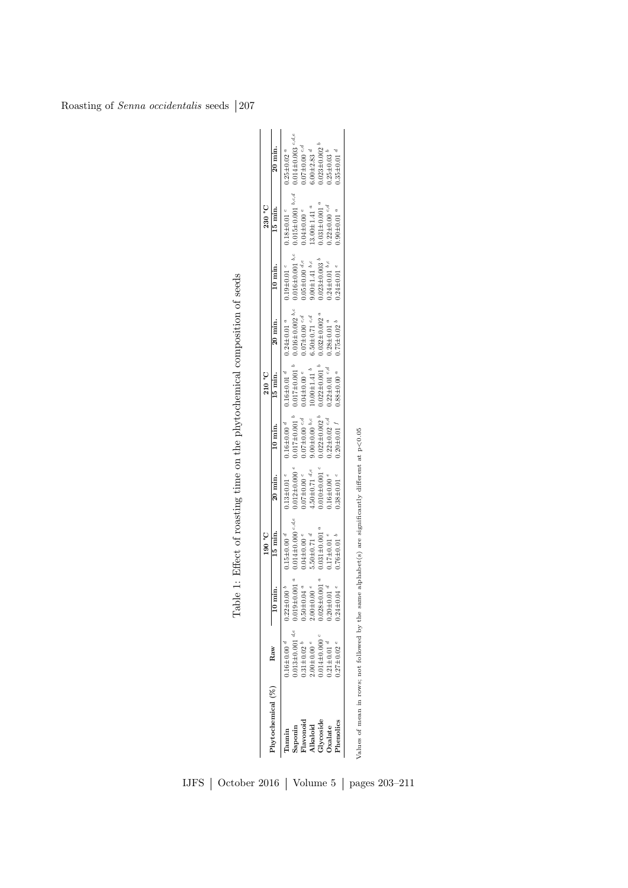<span id="page-4-0"></span>

| Raw<br>$P$ hytochemical $(%)$    |                                | 190 °C                             |                             |                              | 210 °C                       |                              |                          | 230 °C                         |                              |
|----------------------------------|--------------------------------|------------------------------------|-----------------------------|------------------------------|------------------------------|------------------------------|--------------------------|--------------------------------|------------------------------|
|                                  | $\frac{1}{10}$ min.            | 15 min.                            | 20 min.                     | 10 min.                      | 15 min.                      | 20 min.                      | 10 min.                  | 15 min.                        | 20 min.                      |
| $16\pm0.00$ <sup>d</sup>         | $0.22 \pm 0.00^{\circ}$        | $0.15 \pm 0.00$ <sup>d</sup>       | $0.13 \pm 0.01$ e           | $0.16 \pm 0.00$ <sup>d</sup> | $0.16 \pm 0.01$ <sup>d</sup> | $0.24 \pm 0.01$ a            | $0.19\pm0.01$ $^c$       | $0.18{\pm0.01}$ $^c$           | $0.25 \pm 0.02$ a            |
| $0.013 \pm 0.001$ <sup>d,e</sup> | $0.019 \pm 0.001$ <sup>a</sup> | $0.014 \pm 0.000$ <sup>c,d,e</sup> | $0.012 \pm 0.000$ e         | $0.017 \pm 0.001$ $b$        | $0.017 \pm 0.001$ $^{b}$     | $0.016 \pm 0.002$ b,c        | $0.016 \pm 0.001$ b,c    | $0.015 \pm 0.001$ b.c.d        | $0.014 \pm 0.003$ c,d,e      |
| $0.31 \pm 0.02$ <sup>b</sup>     | $0.50 \pm 0.04$ <sup>a</sup>   | $0.04 \pm 0.00$ e                  | $0.07 \pm 0.00$ °           | $0.07 \pm 0.00$ $c, d$       | $0.04\pm0.00$ $^e$           | $0.07{\pm}0.00$ ${}^{c,d}$   | $0.05 \pm 0.00$ d.e      | $0.04 \pm 0.00$ e              | $0.07 \pm 0.00$ c-d          |
| $0.00\pm0.00$ e                  | $00.00 + 0.00$                 | $5.50 \pm 0.71$ <sup>d</sup>       | .50 $\pm$ 0.71 $d,e$        | $9.00 \pm 0.00$ b,c          | $10.00{\pm}1.41$ $^b$        | $6.50\pm0.71$ $^{c,d}$       | $0.00{\pm}1.41$ $^{b,c}$ | $13.00 \pm 1.41$ <sup>a</sup>  | $0.00 + 2.83$ <sup>d</sup>   |
| $0.014{\pm}0.000$ $^c$           | $0.028 \pm 0.001$ <sup>a</sup> | $0.031 \pm 0.001$ <sup>a</sup>     | $0.010 \pm 0.001$ $\degree$ | $0.022 \pm 0.002 h$          | $0.022 \pm 0.001$ $^b$       | $0.032 \pm 0.002$ a          | $0.023 \pm 0.003$        | $0.031 \pm 0.001$ <sup>a</sup> | $0.023 \pm 0.002$            |
| $0.21 \pm 0.01$ <sup>d</sup>     |                                | $17\pm0.01$ $e$                    | $0.16 \pm 0.00$ e           | $0.22 \pm 0.02$ °-d          | $0.22 \pm 0.01$ $c,d$        | $0.28 \pm 0.01$ <sup>a</sup> | $0.24 \pm 0.01$ b,c      | $0.22 \pm 0.00$ $c, d$         | $0.25 \pm 0.03$ <sup>b</sup> |
| $0.27 \pm 0.02$ °                | $0.24 \pm 0.04$                | $0.76 \pm 0.01$                    | $0.38 \pm 0.01$ $\degree$   | $0.20 \pm 0.01$ J            | $0.88 \pm 0.00$ <sup>a</sup> | $0.75 \pm 0.02^{\circ}$      | $0.24 \pm 0.01$ $e$      | $0.90 \pm 0.01$ <sup>a</sup>   | $0.35 \pm 0.01$ <sup>d</sup> |
|                                  | $0.20\pm0.01$ $^d$             |                                    |                             |                              |                              |                              |                          |                                |                              |

Table 1: Effect of roasting time on the phytochemical composition of seeds Table 1: Effect of roasting time on the phytochemical composition of seeds

# IJFS | October 2016 | Volume 5 | pages 203–211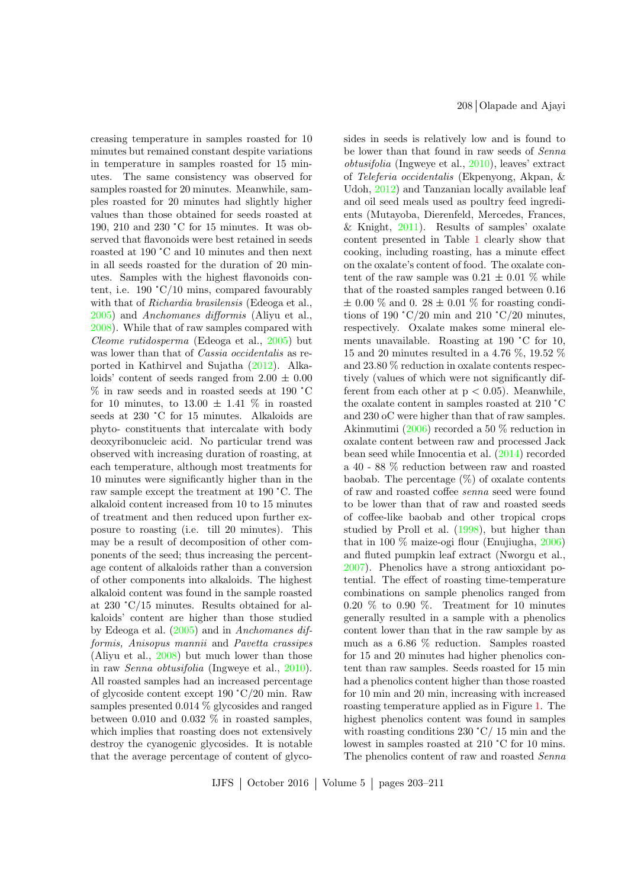creasing temperature in samples roasted for 10 minutes but remained constant despite variations in temperature in samples roasted for 15 minutes. The same consistency was observed for samples roasted for 20 minutes. Meanwhile, samples roasted for 20 minutes had slightly higher values than those obtained for seeds roasted at 190, 210 and 230 °C for 15 minutes. It was observed that flavonoids were best retained in seeds roasted at 190 °C and 10 minutes and then next in all seeds roasted for the duration of 20 minutes. Samples with the highest flavonoids content, i.e. 190 °C/10 mins, compared favourably with that of Richardia brasilensis (Edeoga et al., [2005\)](#page-7-16) and Anchomanes difformis (Aliyu et al., [2008\)](#page-6-9). While that of raw samples compared with Cleome rutidosperma (Edeoga et al., [2005\)](#page-7-16) but was lower than that of *Cassia occidentalis* as reported in Kathirvel and Sujatha [\(2012\)](#page-7-8). Alkaloids' content of seeds ranged from  $2.00 \pm 0.00$ % in raw seeds and in roasted seeds at 190 °C for 10 minutes, to  $13.00 \pm 1.41$  % in roasted seeds at 230 °C for 15 minutes. Alkaloids are phyto- constituents that intercalate with body deoxyribonucleic acid. No particular trend was observed with increasing duration of roasting, at each temperature, although most treatments for 10 minutes were significantly higher than in the raw sample except the treatment at 190 °C. The alkaloid content increased from 10 to 15 minutes of treatment and then reduced upon further exposure to roasting (i.e. till 20 minutes). This may be a result of decomposition of other components of the seed; thus increasing the percentage content of alkaloids rather than a conversion of other components into alkaloids. The highest alkaloid content was found in the sample roasted at 230 °C/15 minutes. Results obtained for alkaloids' content are higher than those studied by Edeoga et al. [\(2005\)](#page-7-16) and in Anchomanes difformis, Anisopus mannii and Pavetta crassipes (Aliyu et al., [2008\)](#page-6-9) but much lower than those in raw Senna obtusifolia (Ingweye et al., [2010\)](#page-7-15). All roasted samples had an increased percentage of glycoside content except 190 °C/20 min. Raw samples presented 0.014 % glycosides and ranged between 0.010 and 0.032  $\%$  in roasted samples, which implies that roasting does not extensively destroy the cyanogenic glycosides. It is notable that the average percentage of content of glyco208 Olapade and Ajayi

sides in seeds is relatively low and is found to be lower than that found in raw seeds of Senna obtusifolia (Ingweye et al., [2010\)](#page-7-15), leaves' extract of Teleferia occidentalis (Ekpenyong, Akpan, & Udoh, [2012\)](#page-7-17) and Tanzanian locally available leaf and oil seed meals used as poultry feed ingredients (Mutayoba, Dierenfeld, Mercedes, Frances, & Knight,  $2011$ ). Results of samples' oxalate content presented in Table [1](#page-4-0) clearly show that cooking, including roasting, has a minute effect on the oxalate's content of food. The oxalate content of the raw sample was  $0.21 \pm 0.01$  % while that of the roasted samples ranged between 0.16  $\pm$  0.00 % and 0. 28  $\pm$  0.01 % for roasting conditions of 190 °C/20 min and 210 °C/20 minutes, respectively. Oxalate makes some mineral elements unavailable. Roasting at 190 °C for 10, 15 and 20 minutes resulted in a 4.76 %, 19.52 % and 23.80 % reduction in oxalate contents respectively (values of which were not significantly different from each other at  $p < 0.05$ ). Meanwhile, the oxalate content in samples roasted at 210 °C and 230 oC were higher than that of raw samples. Akinmutimi [\(2006\)](#page-6-7) recorded a 50 % reduction in oxalate content between raw and processed Jack bean seed while Innocentia et al. [\(2014\)](#page-7-7) recorded a 40 - 88 % reduction between raw and roasted baobab. The percentage  $(\%)$  of oxalate contents of raw and roasted coffee senna seed were found to be lower than that of raw and roasted seeds of coffee-like baobab and other tropical crops studied by Proll et al. [\(1998\)](#page-8-10), but higher than that in 100 % maize-ogi flour (Enujiugha, [2006\)](#page-7-12) and fluted pumpkin leaf extract (Nworgu et al., [2007\)](#page-7-10). Phenolics have a strong antioxidant potential. The effect of roasting time-temperature combinations on sample phenolics ranged from  $0.20\%$  to  $0.90\%$ . Treatment for 10 minutes generally resulted in a sample with a phenolics content lower than that in the raw sample by as much as a 6.86 % reduction. Samples roasted for 15 and 20 minutes had higher phenolics content than raw samples. Seeds roasted for 15 min had a phenolics content higher than those roasted for 10 min and 20 min, increasing with increased roasting temperature applied as in Figure [1.](#page-6-10) The highest phenolics content was found in samples with roasting conditions 230 °C/ 15 min and the lowest in samples roasted at 210 °C for 10 mins. The phenolics content of raw and roasted Senna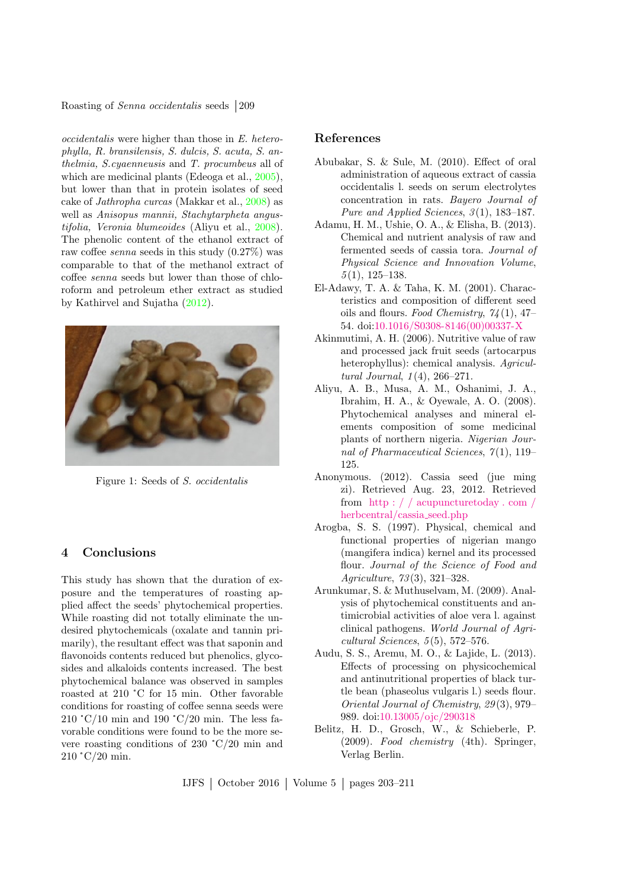Roasting of *Senna occidentalis* seeds 209

occidentalis were higher than those in E. heterophylla, R. bransilensis, S. dulcis, S. acuta, S. anthelmia, S.cyaenneusis and T. procumbeus all of which are medicinal plants (Edeoga et al., [2005\)](#page-7-16), but lower than that in protein isolates of seed cake of Jathropha curcas (Makkar et al., [2008\)](#page-7-11) as well as Anisopus mannii, Stachytarpheta angustifolia, Veronia blumeoides (Aliyu et al., [2008\)](#page-6-9). The phenolic content of the ethanol extract of raw coffee senna seeds in this study (0.27%) was comparable to that of the methanol extract of coffee senna seeds but lower than those of chloroform and petroleum ether extract as studied by Kathirvel and Sujatha [\(2012\)](#page-7-8).



Figure 1: Seeds of S. occidentalis

### <span id="page-6-10"></span>4 Conclusions

This study has shown that the duration of exposure and the temperatures of roasting applied affect the seeds' phytochemical properties. While roasting did not totally eliminate the undesired phytochemicals (oxalate and tannin primarily), the resultant effect was that saponin and flavonoids contents reduced but phenolics, glycosides and alkaloids contents increased. The best phytochemical balance was observed in samples roasted at 210 °C for 15 min. Other favorable conditions for roasting of coffee senna seeds were 210 °C/10 min and 190 °C/20 min. The less favorable conditions were found to be the more severe roasting conditions of 230 °C/20 min and 210 °C/20 min.

### References

- <span id="page-6-0"></span>Abubakar, S. & Sule, M. (2010). Effect of oral administration of aqueous extract of cassia occidentalis l. seeds on serum electrolytes concentration in rats. Bayero Journal of Pure and Applied Sciences, 3(1), 183-187.
- <span id="page-6-8"></span>Adamu, H. M., Ushie, O. A., & Elisha, B. (2013). Chemical and nutrient analysis of raw and fermented seeds of cassia tora. Journal of Physical Science and Innovation Volume,  $5(1)$ , 125–138.
- <span id="page-6-5"></span>El-Adawy, T. A. & Taha, K. M. (2001). Characteristics and composition of different seed oils and flours. Food Chemistry,  $74(1)$ , 47– 54. doi[:10.1016/S0308-8146\(00\)00337-X](http://dx.doi.org/10.1016/S0308-8146(00)00337-X)
- <span id="page-6-7"></span>Akinmutimi, A. H. (2006). Nutritive value of raw and processed jack fruit seeds (artocarpus heterophyllus): chemical analysis. Agricultural Journal, 1 (4), 266–271.
- <span id="page-6-9"></span>Aliyu, A. B., Musa, A. M., Oshanimi, J. A., Ibrahim, H. A., & Oyewale, A. O. (2008). Phytochemical analyses and mineral elements composition of some medicinal plants of northern nigeria. Nigerian Journal of Pharmaceutical Sciences,  $7(1)$ , 119– 125.
- <span id="page-6-2"></span>Anonymous. (2012). Cassia seed (jue ming zi). Retrieved Aug. 23, 2012. Retrieved from  $\hbox{http://acupuncturedday.com/}$ [herbcentral/cassia](http://acupuncturetoday.com/herbcentral/cassia_seed.php) seed.php
- <span id="page-6-6"></span>Arogba, S. S. (1997). Physical, chemical and functional properties of nigerian mango (mangifera indica) kernel and its processed flour. Journal of the Science of Food and Agriculture, 73 (3), 321–328.
- <span id="page-6-4"></span>Arunkumar, S. & Muthuselvam, M. (2009). Analysis of phytochemical constituents and antimicrobial activities of aloe vera l. against clinical pathogens. World Journal of Agri $cultural\, Sciences, 5(5), 572-576.$
- <span id="page-6-3"></span>Audu, S. S., Aremu, M. O., & Lajide, L. (2013). Effects of processing on physicochemical and antinutritional properties of black turtle bean (phaseolus vulgaris l.) seeds flour. Oriental Journal of Chemistry, 29 (3), 979– 989. doi[:10.13005/ojc/290318](http://dx.doi.org/10.13005/ojc/290318)
- <span id="page-6-1"></span>Belitz, H. D., Grosch, W., & Schieberle, P. (2009). Food chemistry (4th). Springer, Verlag Berlin.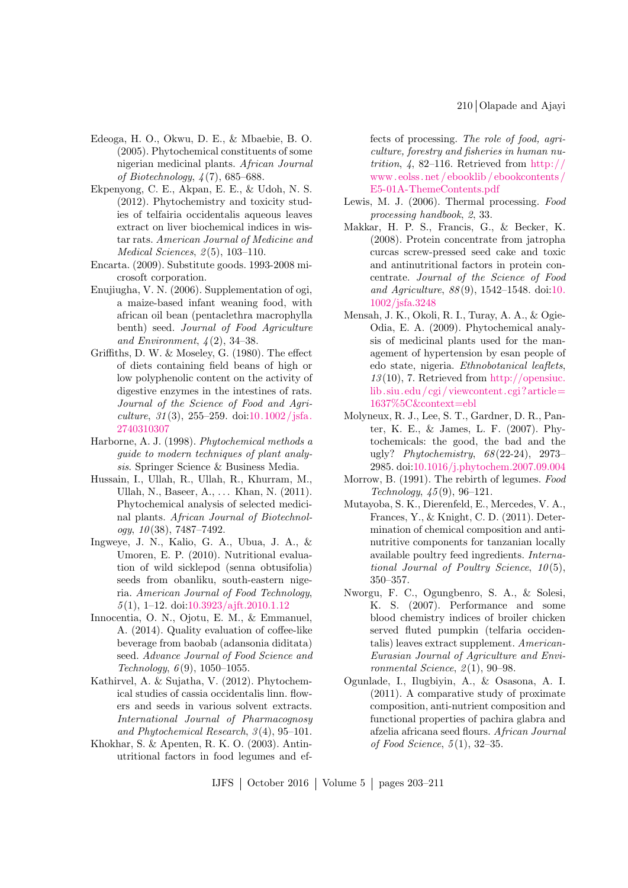- <span id="page-7-16"></span>Edeoga, H. O., Okwu, D. E., & Mbaebie, B. O. (2005). Phytochemical constituents of some nigerian medicinal plants. African Journal of Biotechnology, 4 (7), 685–688.
- <span id="page-7-17"></span>Ekpenyong, C. E., Akpan, E. E., & Udoh, N. S. (2012). Phytochemistry and toxicity studies of telfairia occidentalis aqueous leaves extract on liver biochemical indices in wistar rats. American Journal of Medicine and  $Medical Sciences, 2(5), 103-110.$
- <span id="page-7-0"></span>Encarta. (2009). Substitute goods. 1993-2008 microsoft corporation.
- <span id="page-7-12"></span>Enujiugha, V. N. (2006). Supplementation of ogi, a maize-based infant weaning food, with african oil bean (pentaclethra macrophylla benth) seed. Journal of Food Agriculture and Environment,  $\frac{1}{4}(2)$ , 34–38.
- <span id="page-7-4"></span>Griffiths, D. W. & Moseley, G. (1980). The effect of diets containing field beans of high or low polyphenolic content on the activity of digestive enzymes in the intestines of rats. Journal of the Science of Food and Agriculture,  $31(3)$ ,  $255-259$ . doi: $10.1002/jsfa$ . [2740310307](http://dx.doi.org/10.1002/jsfa.2740310307)
- <span id="page-7-9"></span>Harborne, A. J. (1998). Phytochemical methods a guide to modern techniques of plant analysis. Springer Science & Business Media.
- <span id="page-7-6"></span>Hussain, I., Ullah, R., Ullah, R., Khurram, M., Ullah, N., Baseer, A., ... Khan, N. (2011). Phytochemical analysis of selected medicinal plants. African Journal of Biotechnology,  $10(38)$ ,  $7487-7492$ .
- <span id="page-7-15"></span>Ingweye, J. N., Kalio, G. A., Ubua, J. A., & Umoren, E. P. (2010). Nutritional evaluation of wild sicklepod (senna obtusifolia) seeds from obanliku, south-eastern nigeria. American Journal of Food Technology, 5 (1), 1–12. doi[:10.3923/ajft.2010.1.12](http://dx.doi.org/10.3923/ajft.2010.1.12)
- <span id="page-7-7"></span>Innocentia, O. N., Ojotu, E. M., & Emmanuel, A. (2014). Quality evaluation of coffee-like beverage from baobab (adansonia diditata) seed. Advance Journal of Food Science and Technology,  $6(9)$ , 1050-1055.
- <span id="page-7-8"></span>Kathirvel, A. & Sujatha, V. (2012). Phytochemical studies of cassia occidentalis linn. flowers and seeds in various solvent extracts. International Journal of Pharmacognosy and Phytochemical Research, 3 (4), 95–101.
- <span id="page-7-14"></span>Khokhar, S. & Apenten, R. K. O. (2003). Antinutritional factors in food legumes and ef-

fects of processing. The role of food, agriculture, forestry and fisheries in human nutrition,  $\frac{1}{4}$ , 82–116. Retrieved from [http://](http://www.eolss.net/ebooklib/ebookcontents/E5-01A-ThemeContents.pdf) [www. eolss. net / ebooklib / ebookcontents /](http://www.eolss.net/ebooklib/ebookcontents/E5-01A-ThemeContents.pdf) [E5-01A-ThemeContents.pdf](http://www.eolss.net/ebooklib/ebookcontents/E5-01A-ThemeContents.pdf)

- <span id="page-7-1"></span>Lewis, M. J. (2006). Thermal processing. Food processing handbook, 2, 33.
- <span id="page-7-11"></span>Makkar, H. P. S., Francis, G., & Becker, K. (2008). Protein concentrate from jatropha curcas screw-pressed seed cake and toxic and antinutritional factors in protein concentrate. Journal of the Science of Food and Agriculture, 88 (9), 1542–1548. doi[:10.](http://dx.doi.org/10.1002/jsfa.3248) [1002/jsfa.3248](http://dx.doi.org/10.1002/jsfa.3248)
- <span id="page-7-13"></span>Mensah, J. K., Okoli, R. I., Turay, A. A., & Ogie-Odia, E. A. (2009). Phytochemical analysis of medicinal plants used for the management of hypertension by esan people of edo state, nigeria. Ethnobotanical leaflets,  $13(10)$ , 7. Retrieved from [http://opensiuc.](http://opensiuc.lib.siu.edu/cgi/viewcontent.cgi?article=1637%5C&context=ebl) [lib. siu.edu/cgi/viewcontent.cgi?article=](http://opensiuc.lib.siu.edu/cgi/viewcontent.cgi?article=1637%5C&context=ebl) [1637%5C&context=ebl](http://opensiuc.lib.siu.edu/cgi/viewcontent.cgi?article=1637%5C&context=ebl)
- <span id="page-7-2"></span>Molyneux, R. J., Lee, S. T., Gardner, D. R., Panter, K. E., & James, L. F. (2007). Phytochemicals: the good, the bad and the ugly? Phytochemistry, 68 (22-24), 2973– 2985. doi[:10.1016/j.phytochem.2007.09.004](http://dx.doi.org/10.1016/j.phytochem.2007.09.004)
- <span id="page-7-3"></span>Morrow, B. (1991). The rebirth of legumes. Food Technology, 45 (9), 96–121.
- <span id="page-7-18"></span>Mutayoba, S. K., Dierenfeld, E., Mercedes, V. A., Frances, Y., & Knight, C. D. (2011). Determination of chemical composition and antinutritive components for tanzanian locally available poultry feed ingredients. International Journal of Poultry Science,  $10(5)$ , 350–357.
- <span id="page-7-10"></span>Nworgu, F. C., Ogungbenro, S. A., & Solesi, K. S. (2007). Performance and some blood chemistry indices of broiler chicken served fluted pumpkin (telfaria occidentalis) leaves extract supplement. American-Eurasian Journal of Agriculture and Environmental Science,  $2(1)$ , 90–98.
- <span id="page-7-5"></span>Ogunlade, I., Ilugbiyin, A., & Osasona, A. I. (2011). A comparative study of proximate composition, anti-nutrient composition and functional properties of pachira glabra and afzelia africana seed flours. African Journal of Food Science, 5 (1), 32–35.